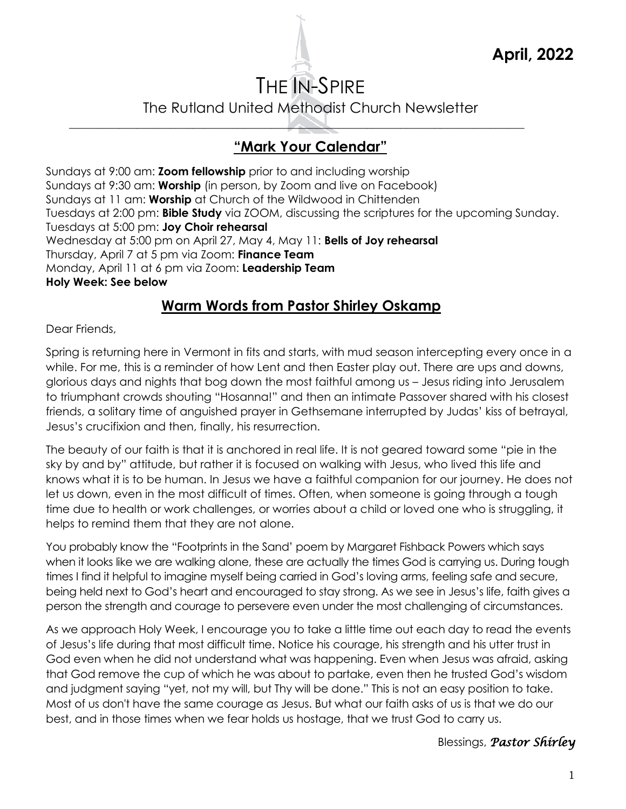# THE IN-SPIRE

The Rutland United Methodist Church Newsletter

\_\_\_\_\_\_\_\_\_\_\_\_\_\_\_\_\_\_\_\_\_\_\_\_\_\_\_\_\_\_\_\_\_\_\_\_\_\_\_\_\_\_\_\_\_\_\_\_\_\_\_\_\_\_\_\_\_\_\_\_\_\_\_\_\_\_\_\_\_\_\_\_\_\_\_\_\_\_\_\_\_

# **"Mark Your Calendar"**

Sundays at 9:00 am: **Zoom fellowship** prior to and including worship Sundays at 9:30 am: **Worship** (in person, by Zoom and live on Facebook) Sundays at 11 am: **Worship** at Church of the Wildwood in Chittenden Tuesdays at 2:00 pm: **Bible Study** via ZOOM, discussing the scriptures for the upcoming Sunday. Tuesdays at 5:00 pm: **Joy Choir rehearsal** Wednesday at 5:00 pm on April 27, May 4, May 11: **Bells of Joy rehearsal** Thursday, April 7 at 5 pm via Zoom: **Finance Team** Monday, April 11 at 6 pm via Zoom: **Leadership Team Holy Week: See below**

# **Warm Words from Pastor Shirley Oskamp**

Dear Friends,

Spring is returning here in Vermont in fits and starts, with mud season intercepting every once in a while. For me, this is a reminder of how Lent and then Easter play out. There are ups and downs, glorious days and nights that bog down the most faithful among us – Jesus riding into Jerusalem to triumphant crowds shouting "Hosanna!" and then an intimate Passover shared with his closest friends, a solitary time of anguished prayer in Gethsemane interrupted by Judas' kiss of betrayal, Jesus's crucifixion and then, finally, his resurrection.

The beauty of our faith is that it is anchored in real life. It is not geared toward some "pie in the sky by and by" attitude, but rather it is focused on walking with Jesus, who lived this life and knows what it is to be human. In Jesus we have a faithful companion for our journey. He does not let us down, even in the most difficult of times. Often, when someone is going through a tough time due to health or work challenges, or worries about a child or loved one who is struggling, it helps to remind them that they are not alone.

You probably know the "Footprints in the Sand' poem by Margaret Fishback Powers which says when it looks like we are walking alone, these are actually the times God is carrying us. During tough times I find it helpful to imagine myself being carried in God's loving arms, feeling safe and secure, being held next to God's heart and encouraged to stay strong. As we see in Jesus's life, faith gives a person the strength and courage to persevere even under the most challenging of circumstances.

As we approach Holy Week, I encourage you to take a little time out each day to read the events of Jesus's life during that most difficult time. Notice his courage, his strength and his utter trust in God even when he did not understand what was happening. Even when Jesus was afraid, asking that God remove the cup of which he was about to partake, even then he trusted God's wisdom and judgment saying "yet, not my will, but Thy will be done." This is not an easy position to take. Most of us don't have the same courage as Jesus. But what our faith asks of us is that we do our best, and in those times when we fear holds us hostage, that we trust God to carry us.

Blessings, *Pastor Shirley*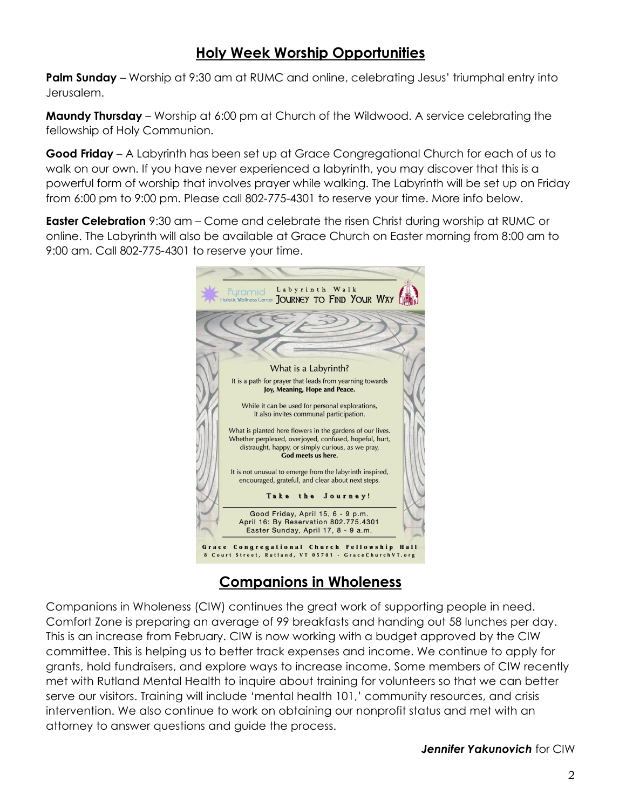### **Holy Week Worship Opportunities**

Palm Sunday – Worship at 9:30 am at RUMC and online, celebrating Jesus' triumphal entry into Jerusalem.

**Maundy Thursday** – Worship at 6:00 pm at Church of the Wildwood. A service celebrating the fellowship of Holy Communion.

**Good Friday** – A Labyrinth has been set up at Grace Congregational Church for each of us to walk on our own. If you have never experienced a labyrinth, you may discover that this is a powerful form of worship that involves prayer while walking. The Labyrinth will be set up on Friday from 6:00 pm to 9:00 pm. Please call 802-775-4301 to reserve your time. More info below.

**Easter Celebration** 9:30 am – Come and celebrate the risen Christ during worship at RUMC or online. The Labyrinth will also be available at Grace Church on Easter morning from 8:00 am to 9:00 am. Call 802-775-4301 to reserve your time.



# **Companions in Wholeness**

Companions in Wholeness (CIW) continues the great work of supporting people in need. Comfort Zone is preparing an average of 99 breakfasts and handing out 58 lunches per day. This is an increase from February. CIW is now working with a budget approved by the CIW committee. This is helping us to better track expenses and income. We continue to apply for grants, hold fundraisers, and explore ways to increase income. Some members of CIW recently met with Rutland Mental Health to inquire about training for volunteers so that we can better serve our visitors. Training will include 'mental health 101,' community resources, and crisis intervention. We also continue to work on obtaining our nonprofit status and met with an attorney to answer questions and guide the process.

*Jennifer Yakunovich* for CIW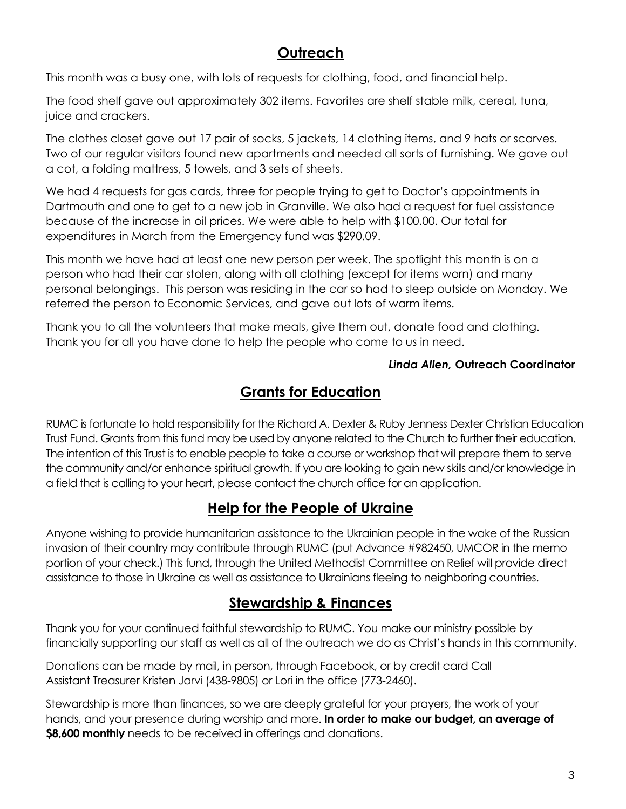# **Outreach**

This month was a busy one, with lots of requests for clothing, food, and financial help.

The food shelf gave out approximately 302 items. Favorites are shelf stable milk, cereal, tuna, juice and crackers.

The clothes closet gave out 17 pair of socks, 5 jackets, 14 clothing items, and 9 hats or scarves. Two of our regular visitors found new apartments and needed all sorts of furnishing. We gave out a cot, a folding mattress, 5 towels, and 3 sets of sheets.

We had 4 requests for gas cards, three for people trying to get to Doctor's appointments in Dartmouth and one to get to a new job in Granville. We also had a request for fuel assistance because of the increase in oil prices. We were able to help with \$100.00. Our total for expenditures in March from the Emergency fund was \$290.09.

This month we have had at least one new person per week. The spotlight this month is on a person who had their car stolen, along with all clothing (except for items worn) and many personal belongings. This person was residing in the car so had to sleep outside on Monday. We referred the person to Economic Services, and gave out lots of warm items.

Thank you to all the volunteers that make meals, give them out, donate food and clothing. Thank you for all you have done to help the people who come to us in need.

#### *Linda Allen,* **Outreach Coordinator**

### **Grants for Education**

RUMC is fortunate to hold responsibility for the Richard A. Dexter & Ruby Jenness Dexter Christian Education Trust Fund. Grants from this fund may be used by anyone related to the Church to further their education. The intention of this Trust is to enable people to take a course or workshop that will prepare them to serve the community and/or enhance spiritual growth. If you are looking to gain new skills and/or knowledge in a field that is calling to your heart, please contact the church office for an application.

### **Help for the People of Ukraine**

Anyone wishing to provide humanitarian assistance to the Ukrainian people in the wake of the Russian invasion of their country may contribute through RUMC (put Advance #982450, UMCOR in the memo portion of your check.) This fund, through the United Methodist Committee on Relief will provide direct assistance to those in Ukraine as well as assistance to Ukrainians fleeing to neighboring countries.

### **Stewardship & Finances**

Thank you for your continued faithful stewardship to RUMC. You make our ministry possible by financially supporting our staff as well as all of the outreach we do as Christ's hands in this community.

Donations can be made by mail, in person, through Facebook, or by credit card Call Assistant Treasurer Kristen Jarvi (438-9805) or Lori in the office (773-2460).

Stewardship is more than finances, so we are deeply grateful for your prayers, the work of your hands, and your presence during worship and more. **In order to make our budget, an average of \$8,600 monthly** needs to be received in offerings and donations.